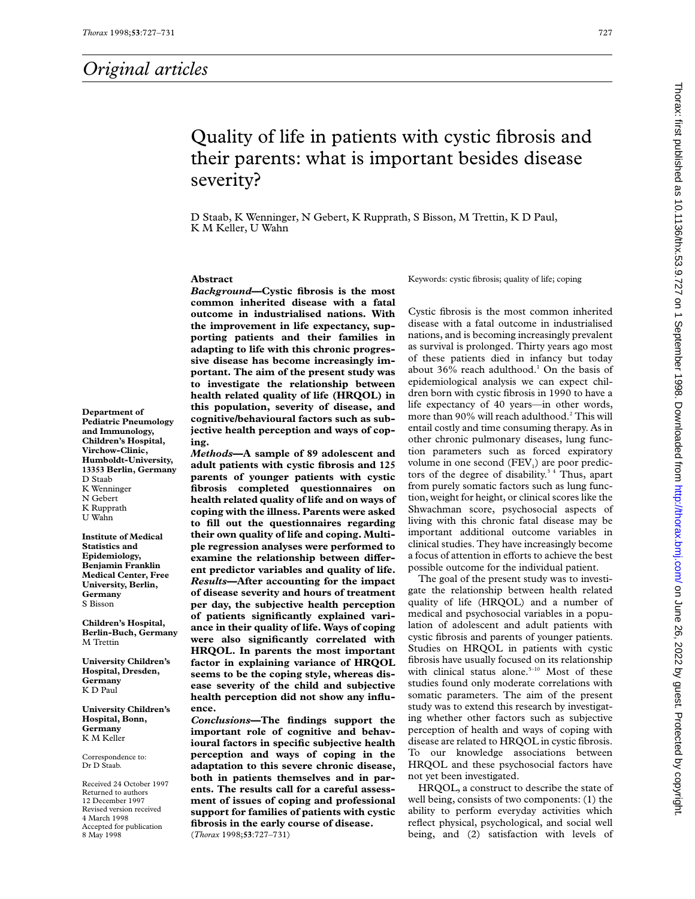# Quality of life in patients with cystic fibrosis and their parents: what is important besides disease severity?

D Staab, K Wenninger, N Gebert, K Rupprath, S Bisson, M Trettin, K D Paul, K M Keller, U Wahn

## **Abstract**

*Background***—Cystic fibrosis is the most common inherited disease with a fatal outcome in industrialised nations. With the improvement in life expectancy, supporting patients and their families in adapting to life with this chronic progressive disease has become increasingly important. The aim of the present study was to investigate the relationship between health related quality of life (HRQOL) in this population, severity of disease, and cognitive/behavioural factors such as subjective health perception and ways of coping.**

*Methods***—A sample of 89 adolescent and adult patients with cystic fibrosis and 125 parents of younger patients with cystic fibrosis completed questionnaires on health related quality of life and on ways of coping with the illness. Parents were asked to fill out the questionnaires regarding their own quality of life and coping. Multiple regression analyses were performed to** examine the relationship between differ**ent predictor variables and quality of life.** *Results***—After accounting for the impact of disease severity and hours of treatment per day, the subjective health perception of patients significantly explained variance in their quality of life. Ways of coping were also significantly correlated with HRQOL. In parents the most important factor in explaining variance of HRQOL seems to be the coping style, whereas disease severity of the child and subjective health perception did not show any influence.**

*Conclusions***—The findings support the important role of cognitive and behavioural factors in specific subjective health perception and ways of coping in the adaptation to this severe chronic disease, both in patients themselves and in parents. The results call for a careful assessment of issues of coping and professional support for families of patients with cystic fibrosis in the early course of disease.** (*Thorax* 1998;**53**:727–731)

Keywords: cystic fibrosis; quality of life; coping

Cystic fibrosis is the most common inherited disease with a fatal outcome in industrialised nations, and is becoming increasingly prevalent as survival is prolonged. Thirty years ago most of these patients died in infancy but today about 36% reach adulthood.<sup>1</sup> On the basis of epidemiological analysis we can expect children born with cystic fibrosis in 1990 to have a life expectancy of 40 years—in other words, more than 90% will reach adulthood.<sup>2</sup> This will entail costly and time consuming therapy. As in other chronic pulmonary diseases, lung function parameters such as forced expiratory volume in one second  $(FEV_i)$  are poor predictors of the degree of disability.<sup>34</sup> Thus, apart from purely somatic factors such as lung function, weight for height, or clinical scores like the Shwachman score, psychosocial aspects of living with this chronic fatal disease may be important additional outcome variables in clinical studies. They have increasingly become a focus of attention in efforts to achieve the best possible outcome for the individual patient.

The goal of the present study was to investigate the relationship between health related quality of life (HRQOL) and a number of medical and psychosocial variables in a population of adolescent and adult patients with cystic fibrosis and parents of younger patients. Studies on HRQOL in patients with cystic fibrosis have usually focused on its relationship with clinical status alone. $5-10$  Most of these studies found only moderate correlations with somatic parameters. The aim of the present study was to extend this research by investigating whether other factors such as subjective perception of health and ways of coping with disease are related to HRQOL in cystic fibrosis. To our knowledge associations between HRQOL and these psychosocial factors have not yet been investigated.

HRQOL, a construct to describe the state of well being, consists of two components: (1) the ability to perform everyday activities which reflect physical, psychological, and social well being, and (2) satisfaction with levels of

**Department of Pediatric Pneumology and Immunology, Children's Hospital, Virchow-Clinic, Humboldt-University, 13353 Berlin, Germany** D Staab K Wenninger N Gebert K Rupprath U Wahn

**Institute of Medical Statistics and Epidemiology, Benjamin Franklin Medical Center, Free University, Berlin, Germany** S Bisson

**Children's Hospital, Berlin-Buch, Germany** M Trettin

**University Children's Hospital, Dresden, Germany** K D Paul

**University Children's Hospital, Bonn, Germany** K M Keller

Correspondence to: Dr D Staab.

Received 24 October 1997 Returned to authors 12 December 1997 Revised version received 4 March 1998 Accepted for publication 8 May 1998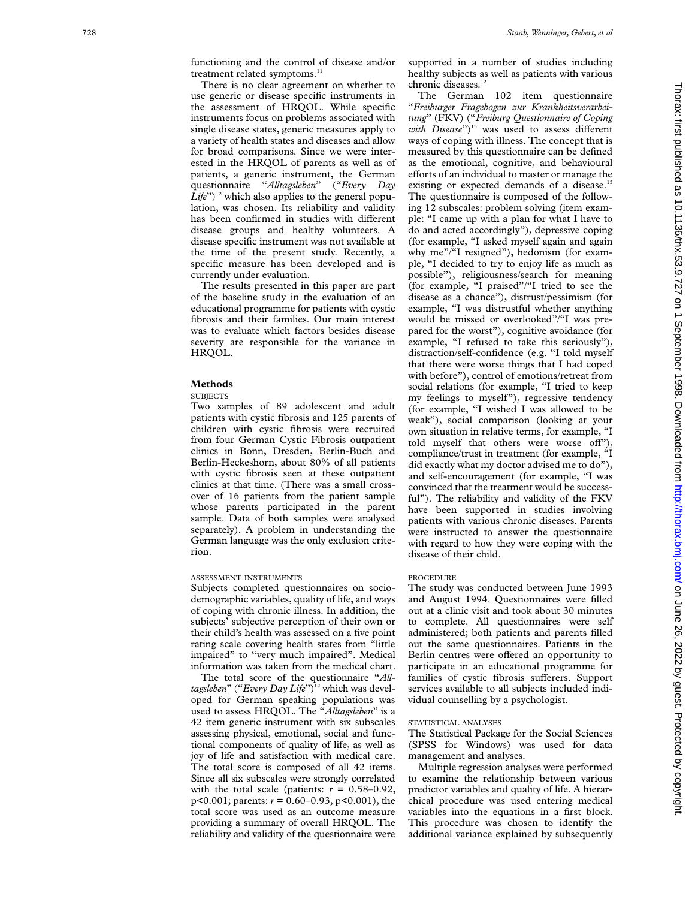functioning and the control of disease and/or treatment related symptoms.<sup>11</sup>

There is no clear agreement on whether to use generic or disease specific instruments in the assessment of HRQOL. While specific instruments focus on problems associated with single disease states, generic measures apply to a variety of health states and diseases and allow for broad comparisons. Since we were interested in the HRQOL of parents as well as of patients, a generic instrument, the German questionnaire "*Alltagsleben*" ("*Every Day*  $Life<sup>2</sup>$ <sup>12</sup> which also applies to the general population, was chosen. Its reliability and validity has been confirmed in studies with different disease groups and healthy volunteers. A disease specific instrument was not available at the time of the present study. Recently, a specific measure has been developed and is currently under evaluation.

The results presented in this paper are part of the baseline study in the evaluation of an educational programme for patients with cystic fibrosis and their families. Our main interest was to evaluate which factors besides disease severity are responsible for the variance in HRQOL.

#### **Methods**

#### **SUBJECTS**

Two samples of 89 adolescent and adult patients with cystic fibrosis and 125 parents of children with cystic fibrosis were recruited from four German Cystic Fibrosis outpatient clinics in Bonn, Dresden, Berlin-Buch and Berlin-Heckeshorn, about 80% of all patients with cystic fibrosis seen at these outpatient clinics at that time. (There was a small crossover of 16 patients from the patient sample whose parents participated in the parent sample. Data of both samples were analysed separately). A problem in understanding the German language was the only exclusion criterion.

#### ASSESSMENT INSTRUMENTS

Subjects completed questionnaires on sociodemographic variables, quality of life, and ways of coping with chronic illness. In addition, the subjects' subjective perception of their own or their child's health was assessed on a five point rating scale covering health states from "little impaired" to "very much impaired". Medical information was taken from the medical chart.

The total score of the questionnaire "*Alltagsleben*" ("*Every Day Life*")<sup>12</sup> which was developed for German speaking populations was used to assess HRQOL. The "*Alltagsleben*" is a 42 item generic instrument with six subscales assessing physical, emotional, social and functional components of quality of life, as well as joy of life and satisfaction with medical care. The total score is composed of all 42 items. Since all six subscales were strongly correlated with the total scale (patients:  $r = 0.58 - 0.92$ , p<0.001; parents: *r* = 0.60–0.93, p<0.001), the total score was used as an outcome measure providing a summary of overall HRQOL. The reliability and validity of the questionnaire were supported in a number of studies including healthy subjects as well as patients with various chronic diseases.<sup>12</sup>

The German 102 item questionnaire "*Freiburger Fragebogen zur Krankheitsverarbeitung*" (FKV) ("*Freiburg Questionnaire of Coping*  $with\; Disease$ <sup>")<sup>13</sup> was used to assess different</sup> ways of coping with illness. The concept that is measured by this questionnaire can be defined as the emotional, cognitive, and behavioural efforts of an individual to master or manage the existing or expected demands of a disease.<sup>1</sup> The questionnaire is composed of the following 12 subscales: problem solving (item example: "I came up with a plan for what I have to do and acted accordingly"), depressive coping (for example, "I asked myself again and again why me"/"I resigned"), hedonism (for example, "I decided to try to enjoy life as much as possible"), religiousness/search for meaning (for example, "I praised"/"I tried to see the disease as a chance"), distrust/pessimism (for example, "I was distrustful whether anything would be missed or overlooked"/"I was prepared for the worst"), cognitive avoidance (for example, "I refused to take this seriously"), distraction/self-confidence (e.g. "I told myself that there were worse things that I had coped with before"), control of emotions/retreat from social relations (for example, "I tried to keep my feelings to myself"), regressive tendency (for example, "I wished I was allowed to be weak"), social comparison (looking at your own situation in relative terms, for example, "I told myself that others were worse off"), compliance/trust in treatment (for example, "I did exactly what my doctor advised me to do"), and self-encouragement (for example, "I was convinced that the treatment would be successful"). The reliability and validity of the FKV have been supported in studies involving patients with various chronic diseases. Parents were instructed to answer the questionnaire with regard to how they were coping with the disease of their child.

#### PROCEDURE

The study was conducted between June 1993 and August 1994. Questionnaires were filled out at a clinic visit and took about 30 minutes to complete. All questionnaires were self administered; both patients and parents filled out the same questionnaires. Patients in the Berlin centres were offered an opportunity to participate in an educational programme for families of cystic fibrosis sufferers. Support services available to all subjects included individual counselling by a psychologist.

#### STATISTICAL ANALYSES

The Statistical Package for the Social Sciences (SPSS for Windows) was used for data management and analyses.

Multiple regression analyses were performed to examine the relationship between various predictor variables and quality of life. A hierarchical procedure was used entering medical variables into the equations in a first block. This procedure was chosen to identify the additional variance explained by subsequently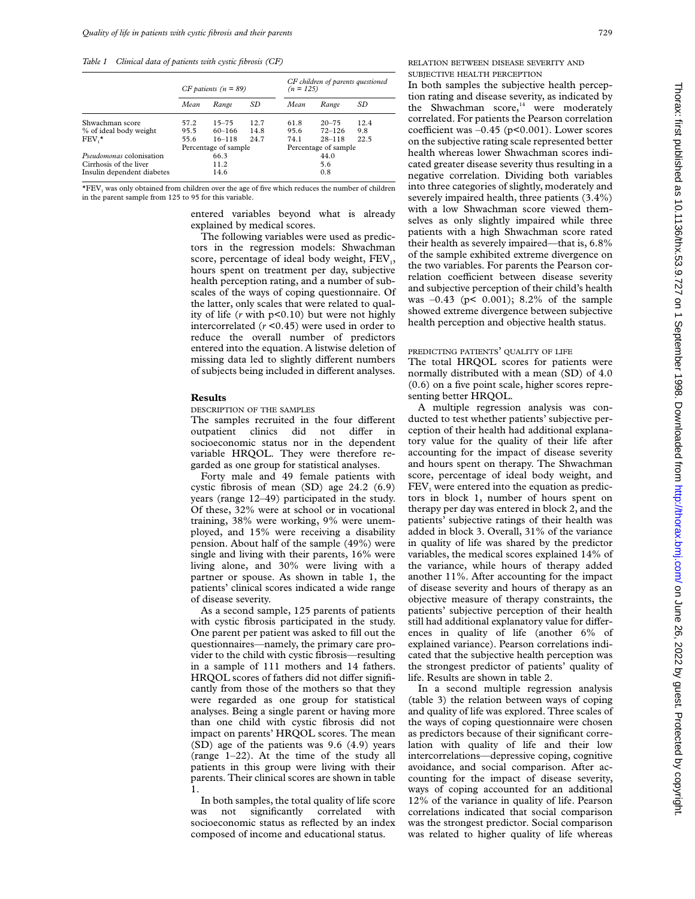*Table 1 Clinical data of patients with cystic fibrosis (CF)*

|                                 | $CF$ patients ( $n = 89$ ) |            |      |                      | CF children of parents questioned<br>$(n = 125)$ |      |  |
|---------------------------------|----------------------------|------------|------|----------------------|--------------------------------------------------|------|--|
|                                 | Mean                       | Range      | SD   | Mean                 | Range                                            | SD   |  |
| Shwachman score                 | 57.2                       | $15 - 75$  | 12.7 | 61.8                 | $20 - 75$                                        | 12.4 |  |
| % of ideal body weight          | 95.5                       | $60 - 166$ | 14.8 | 95.6                 | $72 - 126$                                       | 9.8  |  |
| $FEV.*$                         | 55.6                       | $16 - 118$ | 24.7 | 74.1                 | $28 - 118$                                       | 22.5 |  |
|                                 | Percentage of sample       |            |      | Percentage of sample |                                                  |      |  |
| <i>Pseudomonas</i> colonisation | 66.3                       |            |      |                      | 44.0                                             |      |  |
| Cirrhosis of the liver          | 11.2                       |            |      | 5.6                  |                                                  |      |  |
| Insulin dependent diabetes      | 14.6                       |            |      |                      | 0.8                                              |      |  |

 $*FEV<sub>1</sub>$  was only obtained from children over the age of five which reduces the number of children in the parent sample from 125 to 95 for this variable.

> entered variables beyond what is already explained by medical scores.

The following variables were used as predictors in the regression models: Shwachman score, percentage of ideal body weight,  $FEV<sub>1</sub>$ , hours spent on treatment per day, subjective health perception rating, and a number of subscales of the ways of coping questionnaire. Of the latter, only scales that were related to quality of life (*r* with p<0.10) but were not highly intercorrelated (*r* <0.45) were used in order to reduce the overall number of predictors entered into the equation. A listwise deletion of missing data led to slightly different numbers of subjects being included in different analyses.

### **Results**

DESCRIPTION OF THE SAMPLES

The samples recruited in the four different outpatient clinics did not differ in socioeconomic status nor in the dependent variable HRQOL. They were therefore regarded as one group for statistical analyses.

Forty male and 49 female patients with cystic fibrosis of mean (SD) age 24.2 (6.9) years (range 12–49) participated in the study. Of these, 32% were at school or in vocational training, 38% were working, 9% were unemployed, and 15% were receiving a disability pension. About half of the sample (49%) were single and living with their parents, 16% were living alone, and 30% were living with a partner or spouse. As shown in table 1, the patients' clinical scores indicated a wide range of disease severity.

As a second sample, 125 parents of patients with cystic fibrosis participated in the study. One parent per patient was asked to fill out the questionnaires—namely, the primary care provider to the child with cystic fibrosis—resulting in a sample of 111 mothers and 14 fathers. HRQOL scores of fathers did not differ significantly from those of the mothers so that they were regarded as one group for statistical analyses. Being a single parent or having more than one child with cystic fibrosis did not impact on parents' HRQOL scores. The mean (SD) age of the patients was 9.6 (4.9) years (range 1–22). At the time of the study all patients in this group were living with their parents. Their clinical scores are shown in table 1.

In both samples, the total quality of life score not significantly correlated with socioeconomic status as reflected by an index composed of income and educational status.

RELATION BETWEEN DISEASE SEVERITY AND SUBJECTIVE HEALTH PERCEPTION

In both samples the subjective health perception rating and disease severity, as indicated by the Shwachman score, $14$  were moderately correlated. For patients the Pearson correlation coefficient was  $-0.45$  (p<0.001). Lower scores on the subjective rating scale represented better health whereas lower Shwachman scores indicated greater disease severity thus resulting in a negative correlation. Dividing both variables into three categories of slightly, moderately and severely impaired health, three patients (3.4%) with a low Shwachman score viewed themselves as only slightly impaired while three patients with a high Shwachman score rated their health as severely impaired—that is, 6.8% of the sample exhibited extreme divergence on the two variables. For parents the Pearson correlation coefficient between disease severity and subjective perception of their child's health was –0.43 (p< 0.001); 8.2% of the sample showed extreme divergence between subjective health perception and objective health status.

#### PREDICTING PATIENTS' QUALITY OF LIFE

The total HRQOL scores for patients were normally distributed with a mean (SD) of 4.0 (0.6) on a five point scale, higher scores representing better HRQOL.

A multiple regression analysis was conducted to test whether patients' subjective perception of their health had additional explanatory value for the quality of their life after accounting for the impact of disease severity and hours spent on therapy. The Shwachman score, percentage of ideal body weight, and  $FEV<sub>1</sub>$  were entered into the equation as predictors in block 1, number of hours spent on therapy per day was entered in block 2, and the patients' subjective ratings of their health was added in block 3. Overall, 31% of the variance in quality of life was shared by the predictor variables, the medical scores explained 14% of the variance, while hours of therapy added another 11%. After accounting for the impact of disease severity and hours of therapy as an objective measure of therapy constraints, the patients' subjective perception of their health still had additional explanatory value for differences in quality of life (another 6% of explained variance). Pearson correlations indicated that the subjective health perception was the strongest predictor of patients' quality of life. Results are shown in table 2.

In a second multiple regression analysis (table 3) the relation between ways of coping and quality of life was explored. Three scales of the ways of coping questionnaire were chosen as predictors because of their significant correlation with quality of life and their low intercorrelations—depressive coping, cognitive avoidance, and social comparison. After accounting for the impact of disease severity, ways of coping accounted for an additional 12% of the variance in quality of life. Pearson correlations indicated that social comparison was the strongest predictor. Social comparison was related to higher quality of life whereas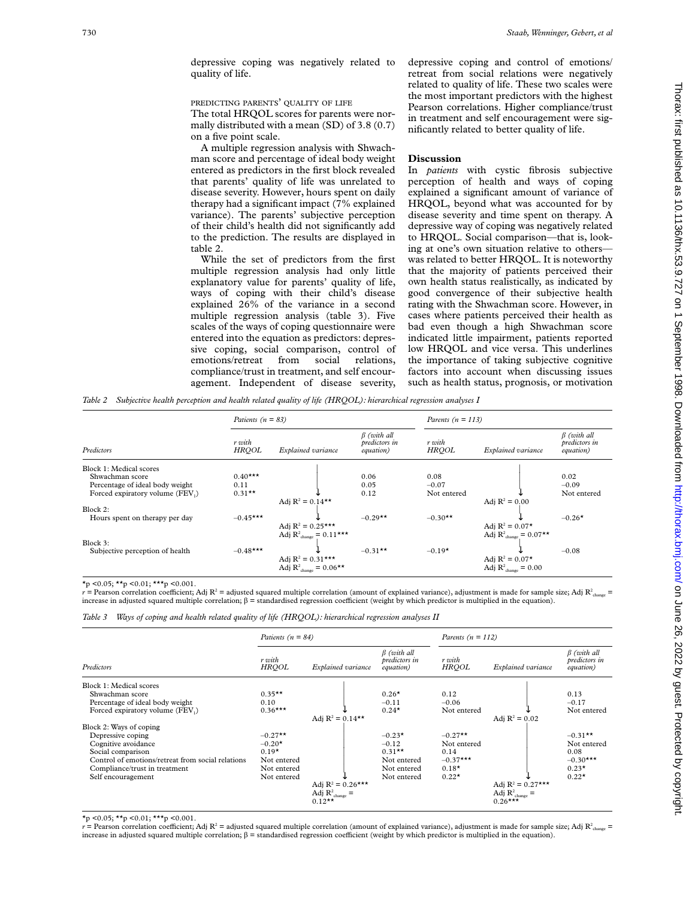depressive coping was negatively related to quality of life.

#### PREDICTING PARENTS' QUALITY OF LIFE

The total HRQOL scores for parents were normally distributed with a mean (SD) of 3.8 (0.7) on a five point scale.

A multiple regression analysis with Shwachman score and percentage of ideal body weight entered as predictors in the first block revealed that parents' quality of life was unrelated to disease severity. However, hours spent on daily therapy had a significant impact (7% explained variance). The parents' subjective perception of their child's health did not significantly add to the prediction. The results are displayed in table 2.

While the set of predictors from the first multiple regression analysis had only little explanatory value for parents' quality of life, ways of coping with their child's disease explained 26% of the variance in a second multiple regression analysis (table 3). Five scales of the ways of coping questionnaire were entered into the equation as predictors: depressive coping, social comparison, control of emotions/retreat from social relations, emotions/retreat from social relations, compliance/trust in treatment, and self encouragement. Independent of disease severity,

depressive coping and control of emotions/ retreat from social relations were negatively related to quality of life. These two scales were the most important predictors with the highest Pearson correlations. Higher compliance/trust in treatment and self encouragement were significantly related to better quality of life.

#### **Discussion**

In *patients* with cystic fibrosis subjective perception of health and ways of coping explained a significant amount of variance of HRQOL, beyond what was accounted for by disease severity and time spent on therapy. A depressive way of coping was negatively related to HRQOL. Social comparison—that is, looking at one's own situation relative to others was related to better HRQOL. It is noteworthy that the majority of patients perceived their own health status realistically, as indicated by good convergence of their subjective health rating with the Shwachman score. However, in cases where patients perceived their health as bad even though a high Shwachman score indicated little impairment, patients reported low HRQOL and vice versa. This underlines the importance of taking subjective cognitive factors into account when discussing issues such as health status, prognosis, or motivation

*Table 2 Subjective health perception and health related quality of life (HRQOL): hierarchical regression analyses I*

|                                 |                        | Patients ( $n = 83$ )                                                           |                                                 |                        | Parents ( $n = 113$ )       |                                                 |  |  |
|---------------------------------|------------------------|---------------------------------------------------------------------------------|-------------------------------------------------|------------------------|-----------------------------|-------------------------------------------------|--|--|
| Predictors                      | r with<br><b>HRQOL</b> | Explained variance                                                              | $\beta$ (with all<br>predictors in<br>equation) | r with<br><b>HRQOL</b> | Explained variance          | $\beta$ (with all<br>predictors in<br>equation) |  |  |
| Block 1: Medical scores         |                        |                                                                                 |                                                 |                        |                             |                                                 |  |  |
| Shwachman score                 | $0.40***$              |                                                                                 | 0.06                                            | 0.08                   |                             | 0.02                                            |  |  |
| Percentage of ideal body weight | 0.11                   |                                                                                 | 0.05                                            | $-0.07$                |                             | $-0.09$                                         |  |  |
| Forced expiratory volume (FEV,) | $0.31**$               |                                                                                 | 0.12                                            | Not entered            |                             | Not entered                                     |  |  |
|                                 | Adj $R^2 = 0.14**$     |                                                                                 |                                                 |                        | Adj $R^2 = 0.00$            |                                                 |  |  |
| Block 2:                        |                        |                                                                                 |                                                 |                        |                             |                                                 |  |  |
| Hours spent on therapy per day  | $-0.45***$             |                                                                                 | $-0.29**$                                       | $-0.30**$              |                             | $-0.26*$                                        |  |  |
|                                 |                        | Adj $R^2 = 0.25***$                                                             |                                                 |                        | Adj $R^2 = 0.07*$           |                                                 |  |  |
|                                 |                        | Adj $\mathbf{R}^2_\text{change}=0.11^{\textstyle{*}\textstyle{*}\textstyle{*}}$ |                                                 |                        | Adj $R^2_{change} = 0.07**$ |                                                 |  |  |
| Block 3:                        |                        |                                                                                 |                                                 |                        |                             |                                                 |  |  |
| Subjective perception of health | $-0.48***$             |                                                                                 | $-0.31**$                                       | $-0.19*$               |                             | $-0.08$                                         |  |  |
|                                 |                        | Adj $R^2 = 0.31***$                                                             |                                                 |                        | Adj $R^2 = 0.07*$           |                                                 |  |  |
|                                 |                        | Adj $R^2_{\text{change}} = 0.06**$                                              |                                                 |                        | Adj $R^2_{change} = 0.00$   |                                                 |  |  |

 $\star_p$  < 0.05;  $\star\star_p$  < 0.01;  $\star\star\star_p$  < 0.001.

*r* = Pearson correlation coefficient; Adj R<sup>2</sup> = adjusted squared multiple correlation (amount of explained variance), adjustment is made for sample size; Adj R<sub>2</sub> <sub>change</sub> = increase in adjusted squared multiple correlation;  $\beta$  = standardised regression coefficient (weight by which predictor is multiplied in the equation).

*Table 3 Ways of coping and health related quality of life (HRQOL): hierarchical regression analyses II*

| $\beta$ (with all<br>predictors in<br>Explained variance<br><i>equation</i> ) |
|-------------------------------------------------------------------------------|
|                                                                               |
| 0.13                                                                          |
| $-0.17$                                                                       |
| Not entered                                                                   |
|                                                                               |
|                                                                               |
| $-0.31**$                                                                     |
| Not entered                                                                   |
| 0.08                                                                          |
| $-0.30***$                                                                    |
| $0.23*$                                                                       |
| $0.22*$                                                                       |
|                                                                               |
|                                                                               |
|                                                                               |
|                                                                               |

 $\star$ p <0.05;  $\star\star$ p <0.01;  $\star\star\star$ p <0.001.

*r* = Pearson correlation coefficient; Adj R<sup>2</sup> = adjusted squared multiple correlation (amount of explained variance), adjustment is made for sample size; Adj R<sup>2</sup><sub>change</sub> = increase in adjusted squared multiple correlation;  $\beta$  = standardised regression coefficient (weight by which predictor is multiplied in the equation).